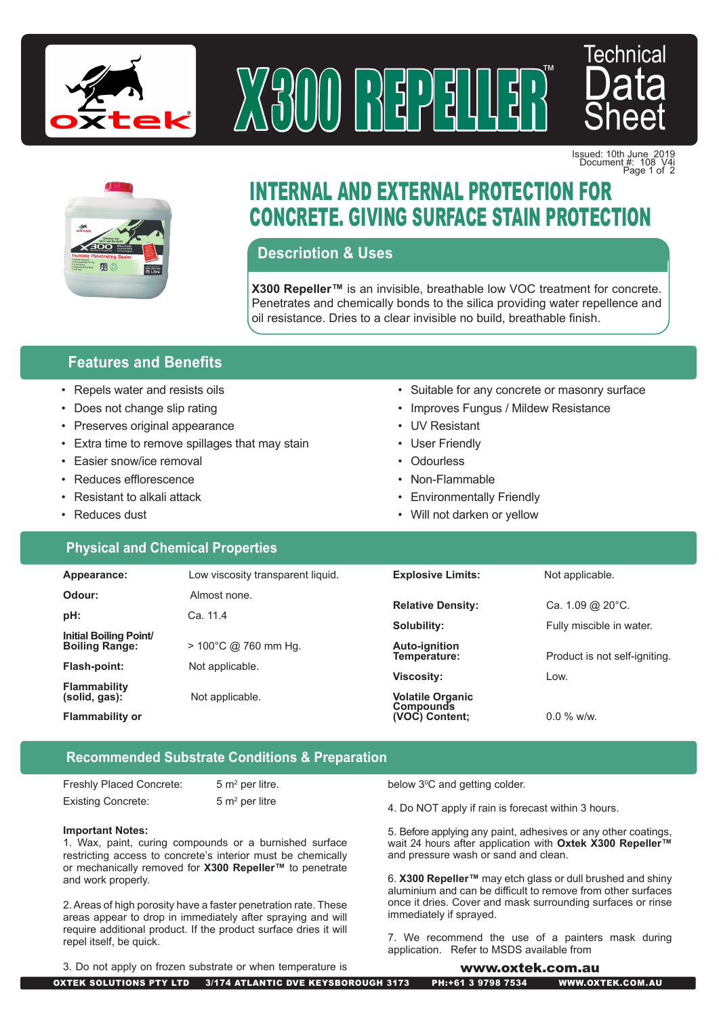







# INTERNAL AND EXTERNAL PROTECTION FOR CONCRETE. GIVING SURFACE STAIN PROTECTION

### **Description & Uses**

**X300 Repeller™** is an invisible, breathable low VOC treatment for concrete. Penetrates and chemically bonds to the silica providing water repellence and oil resistance. Dries to a clear invisible no build, breathable finish.

## **Features and Benefits**

- Repels water and resists oils
- Does not change slip rating
- Preserves original appearance
- Extra time to remove spillages that may stain
- Easier snow/ice removal
- Reduces efflorescence
- Resistant to alkali attack
- Reduces dust

#### **Physical and Chemical Properties**

• Improves Fungus / Mildew Resistance

• Suitable for any concrete or masonry surface

- UV Resistant
- User Friendly
- **Odourless**
- Non-Flammable
- Environmentally Friendly
- Will not darken or yellow

| Appearance:                                     | Low viscosity transparent liquid. | <b>Explosive Limits:</b>                    | Not applicable.               |
|-------------------------------------------------|-----------------------------------|---------------------------------------------|-------------------------------|
| Odour:                                          | Almost none.                      | <b>Relative Density:</b>                    | Ca. 1.09 @ $20^{\circ}$ C.    |
| pH:                                             | Ca. 11.4                          |                                             |                               |
|                                                 |                                   | Solubility:                                 | Fully miscible in water.      |
| Initial Boiling Point/<br><b>Boiling Range:</b> | $>$ 100°C @ 760 mm Hq.            | <b>Auto-ignition</b><br>Temperature:        | Product is not self-igniting. |
| Flash-point:                                    | Not applicable.                   |                                             |                               |
|                                                 |                                   | <b>Viscosity:</b>                           | Low.                          |
| <b>Flammability</b><br>(solid, gas):            | Not applicable.                   | <b>Volatile Organic</b><br><b>Compounds</b> |                               |
| <b>Flammability or</b>                          |                                   | (VOC) Content:                              | $0.0\%$ w/w.                  |

#### **Recommended Substrate Conditions & Preparation**

Freshly Placed Concrete: Existing Concrete:

 $5 \text{ m}^2$  per litre.  $5 m<sup>2</sup>$  per litre

below 3°C and getting colder.

4. Do NOT apply if rain is forecast within 3 hours.

5. Before applying any paint, adhesives or any other coatings, wait 24 hours after application with **Oxtek X300 Repeller™** and pressure wash or sand and clean.

6. **X300 Repeller™** may etch glass or dull brushed and shiny aluminium and can be difficult to remove from other surfaces once it dries. Cover and mask surrounding surfaces or rinse immediately if sprayed.

7. We recommend the use of a painters mask during application. Refer to MSDS available from

**Important Notes:**

1. Wax, paint, curing compounds or a burnished surface restricting access to concrete's interior must be chemically or mechanically removed for **X300 Repeller™** to penetrate and work properly.

2. Areas of high porosity have a faster penetration rate. These areas appear to drop in immediately after spraying and will require additional product. If the product surface dries it will repel itself, be quick.

3. Do not apply on frozen substrate or when temperature is

www.oxtek.com.au

OXTEK SOLUTIONS PTY LTD 3/174 ATLANTIC DVE KEYSBOROUGH 3173 PH:+61 3 9798 7534 WWW.OXTEK.COM.AU